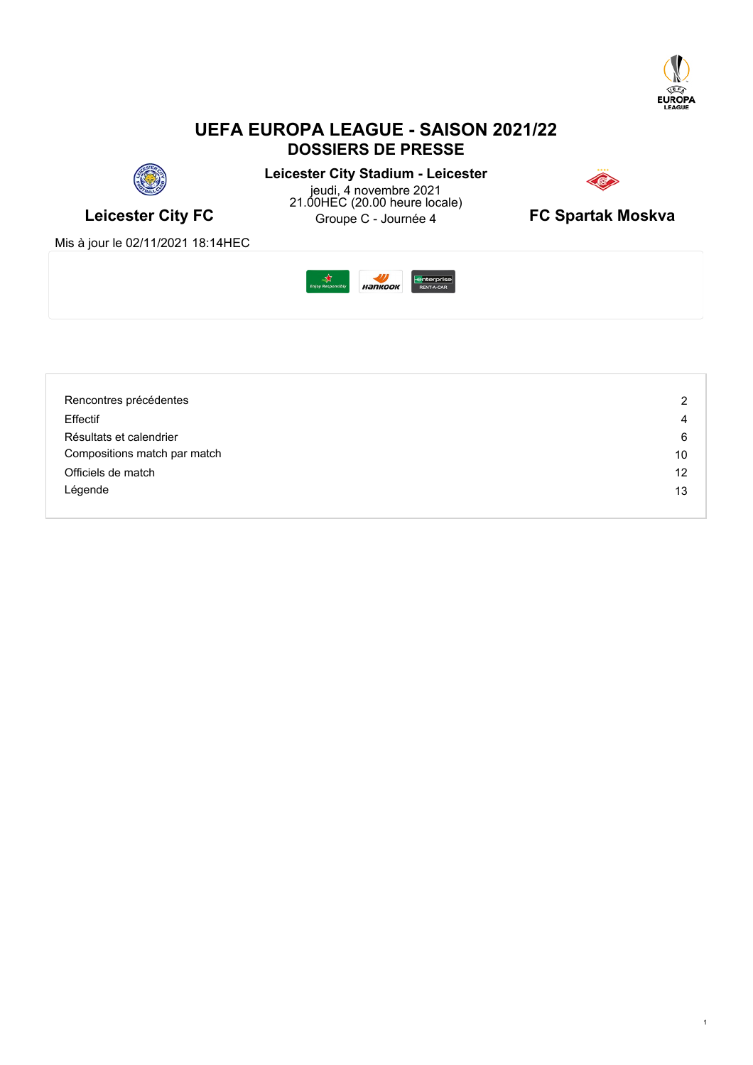

1

# **UEFA EUROPA LEAGUE - SAISON 2021/22 DOSSIERS DE PRESSE**



**Leicester City FC** Groupe C - Journée 4 **FC Spartak Moskva Leicester City Stadium - Leicester** jeudi, 4 novembre 2021 21.00HEC (20.00 heure locale)



Mis à jour le 02/11/2021 18:14HEC



| Rencontres précédentes       | 2  |
|------------------------------|----|
| Effectif                     | 4  |
| Résultats et calendrier      | 6  |
| Compositions match par match | 10 |
| Officiels de match           | 12 |
| Légende                      | 13 |
|                              |    |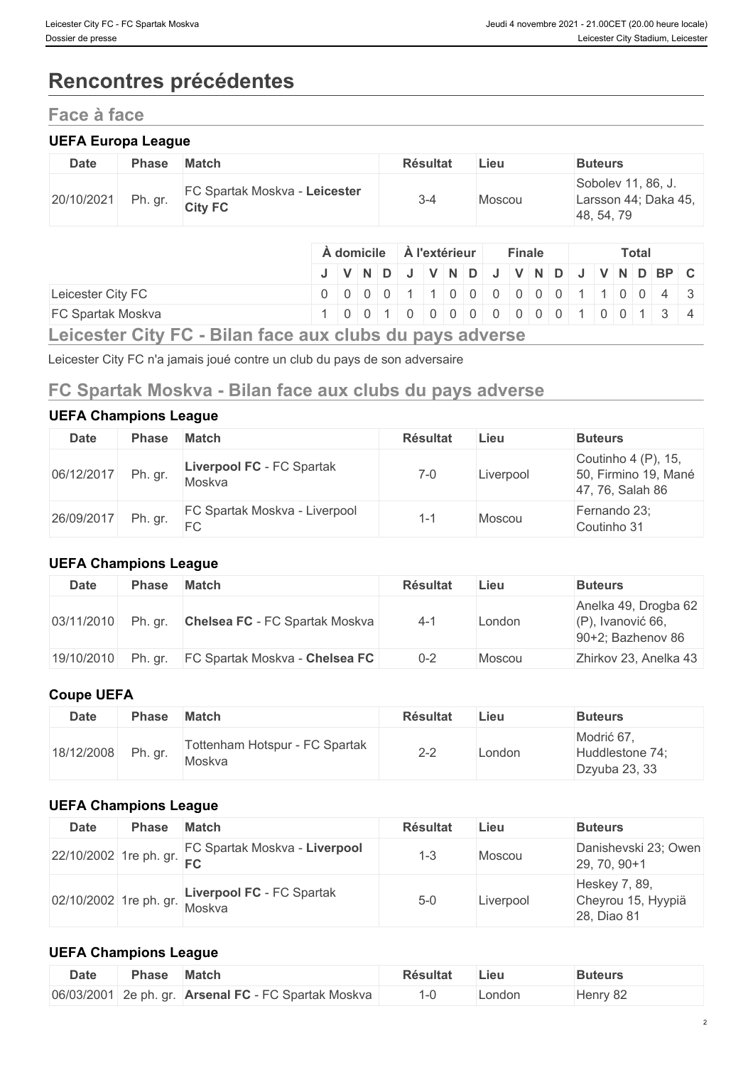# **Rencontres précédentes**

# **Face à face**

#### **UEFA Europa League**

| <b>Date</b> | Phase   | <b>Match</b>                                    | <b>Résultat</b> | Lieu   | <b>Buteurs</b>                                           |
|-------------|---------|-------------------------------------------------|-----------------|--------|----------------------------------------------------------|
| 20/10/2021  | Ph. gr. | FC Spartak Moskva - Leicester<br><b>City FC</b> | $3 - 4$         | Moscou | Sobolev 11, 86, J.<br>Larsson 44; Daka 45,<br>48, 54, 79 |

|                                                                                  |  | A domicile |  |  | À l'extérieur |  | <b>Finale</b> |                                                                         |  | <b>Total</b> |  |  |  |  |
|----------------------------------------------------------------------------------|--|------------|--|--|---------------|--|---------------|-------------------------------------------------------------------------|--|--------------|--|--|--|--|
|                                                                                  |  |            |  |  |               |  |               | J   V   N   D   J   V   N   D   J   V   N   D   J   V   N   D   BP   C  |  |              |  |  |  |  |
| Leicester City FC                                                                |  |            |  |  |               |  |               | $0   0   0   0   1   1   0   0   0   0   0   0   1   1   0   0   4   3$ |  |              |  |  |  |  |
| <b>FC Spartak Moskva</b>                                                         |  |            |  |  |               |  |               | 1 0 0 1 0 0 0 0 0 0 0 0 0 0 0 1 0 0 1 3 4                               |  |              |  |  |  |  |
| $l$ aigaatay $\bigcap_{i=1}^{n} \mathbb{D}^1$ lan faas ayy aluba du nava advaraa |  |            |  |  |               |  |               |                                                                         |  |              |  |  |  |  |

**Leicester City FC - Bilan face aux clubs du pays adverse**

Leicester City FC n'a jamais joué contre un club du pays de son adversaire

# **FC Spartak Moskva - Bilan face aux clubs du pays adverse**

#### **UEFA Champions League**

| Date       | <b>Phase</b> | <b>Match</b>                        | <b>Résultat</b> | ∟ieu      | <b>Buteurs</b>                                                  |
|------------|--------------|-------------------------------------|-----------------|-----------|-----------------------------------------------------------------|
| 06/12/2017 | Ph. gr.      | Liverpool FC - FC Spartak<br>Moskva | $7 - 0$         | Liverpool | Coutinho 4 (P), 15,<br>50, Firmino 19, Mané<br>47, 76, Salah 86 |
| 26/09/2017 | Ph. gr.      | FC Spartak Moskva - Liverpool<br>FC | 1-1             | Moscou    | Fernando 23;<br>Coutinho 31                                     |

#### **UEFA Champions League**

| Date       | <b>Phase</b> | <b>Match</b>                          | <b>Résultat</b> | Lieu   | <b>Buteurs</b>                                                       |
|------------|--------------|---------------------------------------|-----------------|--------|----------------------------------------------------------------------|
| 03/11/2010 | Ph. gr.      | <b>Chelsea FC</b> - FC Spartak Moskva | $4 - 1$         | London | Anelka 49, Drogba 62<br>$(P)$ , Ivanović 66,<br>$90+2$ ; Bazhenov 86 |
| 19/10/2010 | Ph. gr.      | <b>FC Spartak Moskva - Chelsea FC</b> | $0 - 2$         | Moscou | Zhirkov 23, Anelka 43                                                |

#### **Coupe UEFA**

| <b>Date</b> | <b>Phase</b> | <b>Match</b>                             | <b>Résultat</b> | Lieu   | <b>Buteurs</b>                                 |
|-------------|--------------|------------------------------------------|-----------------|--------|------------------------------------------------|
| 18/12/2008  | Ph. gr.      | Tottenham Hotspur - FC Spartak<br>Moskva | $2 - 2$         | London | Modrić 67,<br>Huddlestone 74;<br>Dzyuba 23, 33 |

#### **UEFA Champions League**

| <b>Date</b> | <b>Phase</b> | <b>Match</b>                                         | <b>Résultat</b> | Lieu      | <b>Buteurs</b>                                     |
|-------------|--------------|------------------------------------------------------|-----------------|-----------|----------------------------------------------------|
|             |              | 22/10/2002 1re ph. gr. FC Spartak Moskva - Liverpool | $1 - 3$         | Moscou    | Danishevski 23; Owen<br>29, 70, 90+1               |
|             |              | 02/10/2002 1re ph. gr. Liverpool FC - FC Spartak     | $5 - 0$         | Liverpool | Heskey 7, 89,<br>Cheyrou 15, Hyypiä<br>28, Diao 81 |

#### **UEFA Champions League**

| <b>Date</b> | <b>Phase</b> | <b>Match</b>                                         | Résultat | ∟ieu   | Buteurs  |
|-------------|--------------|------------------------------------------------------|----------|--------|----------|
|             |              | 06/03/2001 2e ph. gr. Arsenal FC - FC Spartak Moskva |          | ∟ondon | Henry 82 |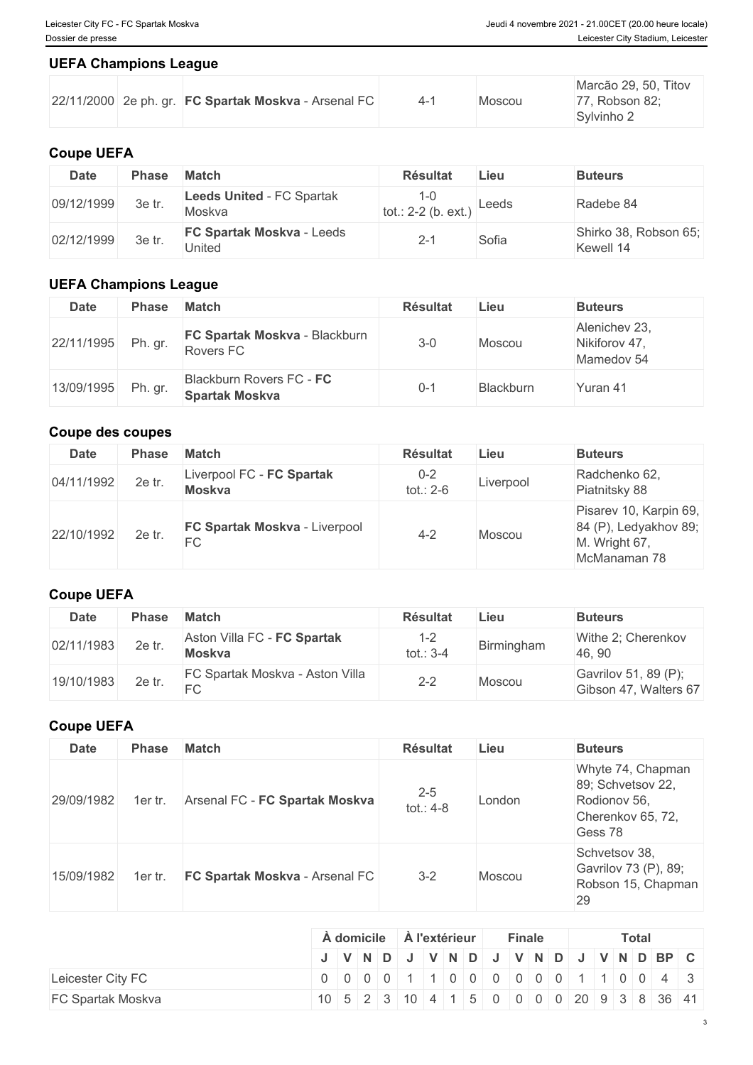#### **UEFA Champions League**

|  | $ 22/11/2000 $ 2e ph. gr. <b>FC Spartak Moskva</b> - Arsenal FC |  |  | Moscou |  | Marcão 29, 50, Titov<br>77, Robson 82;<br>Sylvinho 2 |
|--|-----------------------------------------------------------------|--|--|--------|--|------------------------------------------------------|
|--|-----------------------------------------------------------------|--|--|--------|--|------------------------------------------------------|

## **Coupe UEFA**

| <b>Date</b> | Phase  | <b>Match</b>                               | <b>Résultat</b>              | Lieu  | <b>Buteurs</b>                     |
|-------------|--------|--------------------------------------------|------------------------------|-------|------------------------------------|
| 09/12/1999  | 3e tr. | <b>Leeds United - FC Spartak</b><br>Moskva | 1-0<br>$tot.: 2-2 (b. ext.)$ | Leeds | Radebe 84                          |
| 02/12/1999  | 3e tr. | <b>FC Spartak Moskva - Leeds</b><br>United | $2 - 1$                      | Sofia | Shirko 38, Robson 65;<br>Kewell 14 |

### **UEFA Champions League**

| <b>Date</b>        | <b>Phase</b> | Match                                             | <b>Résultat</b> | Lieu      | <b>Buteurs</b>                               |
|--------------------|--------------|---------------------------------------------------|-----------------|-----------|----------------------------------------------|
| 22/11/1995 Ph. gr. |              | FC Spartak Moskva - Blackburn<br>Rovers FC        | $3 - 0$         | Moscou    | Alenichev 23,<br>Nikiforov 47,<br>Mamedov 54 |
| 13/09/1995         | Ph. gr.      | Blackburn Rovers FC - FC<br><b>Spartak Moskva</b> | $0 - 1$         | Blackburn | Yuran 41                                     |

### **Coupe des coupes**

| <b>Date</b> | <b>Phase</b> | <b>Match</b>                        | <b>Résultat</b>      | Lieu      | <b>Buteurs</b>                                                                   |
|-------------|--------------|-------------------------------------|----------------------|-----------|----------------------------------------------------------------------------------|
| 04/11/1992  | 2e tr.       | Liverpool FC - FC Spartak<br>Moskva | $0 - 2$<br>tot.: 2-6 | Liverpool | Radchenko 62,<br>Piatnitsky 88                                                   |
| 22/10/1992  | 2e tr.       | FC Spartak Moskva - Liverpool<br>FC | $4 - 2$              | Moscou    | Pisarev 10, Karpin 69,<br>84 (P), Ledyakhov 89;<br>M. Wright 67,<br>McManaman 78 |

## **Coupe UEFA**

| <b>Date</b> | Phase  | <b>Match</b>                                 | <b>Résultat</b>        | Lieu       | <b>Buteurs</b>                                |
|-------------|--------|----------------------------------------------|------------------------|------------|-----------------------------------------------|
| 02/11/1983  | 2e tr. | Aston Villa FC - FC Spartak<br><b>Moskva</b> | $1 - 2$<br>tot.: $3-4$ | Birmingham | Withe 2; Cherenkov<br>46, 90                  |
| 19/10/1983  | 2e tr. | FC Spartak Moskva - Aston Villa<br>FC        | $2 - 2$                | Moscou     | Gavrilov 51, 89 (P);<br>Gibson 47, Walters 67 |

#### **Coupe UEFA**

| <b>Date</b> | <b>Phase</b> | <b>Match</b>                   | <b>Résultat</b>        | Lieu   | <b>Buteurs</b>                                                                         |
|-------------|--------------|--------------------------------|------------------------|--------|----------------------------------------------------------------------------------------|
| 29/09/1982  | 1er tr.      | Arsenal FC - FC Spartak Moskva | $2 - 5$<br>tot.: $4-8$ | London | Whyte 74, Chapman<br>89; Schvetsov 22,<br>Rodionov 56,<br>Cherenkov 65, 72,<br>Gess 78 |
| 15/09/1982  | 1er tr       | FC Spartak Moskva - Arsenal FC | $3 - 2$                | Moscou | Schvetsov 38,<br>Gavrilov 73 (P), 89;<br>Robson 15, Chapman<br>29                      |

|                          | A domicile |  |  | A l'extérieur |  |  |  |  |  | <b>Finale</b> | <b>Total</b> |  |  |  |  |                                                                                                                    |  |  |
|--------------------------|------------|--|--|---------------|--|--|--|--|--|---------------|--------------|--|--|--|--|--------------------------------------------------------------------------------------------------------------------|--|--|
|                          |            |  |  |               |  |  |  |  |  |               |              |  |  |  |  | J   V   N   D   J   V   N   D   J   V   N   D   J   V   N   D   BP   C                                             |  |  |
| Leicester City FC        |            |  |  |               |  |  |  |  |  |               |              |  |  |  |  | 0 0 0 0 0 1 1 0 0 0 0 0 0 0 1 1 0 0 4 3                                                                            |  |  |
| <b>FC Spartak Moskva</b> |            |  |  |               |  |  |  |  |  |               |              |  |  |  |  | $10\mid 5\mid 2\mid 3\mid 10\mid 4\mid 1\mid 5\mid 0\mid 0\mid 0\mid 0\mid 20\mid 9\mid 3\mid 8\mid 36\mid 41\mid$ |  |  |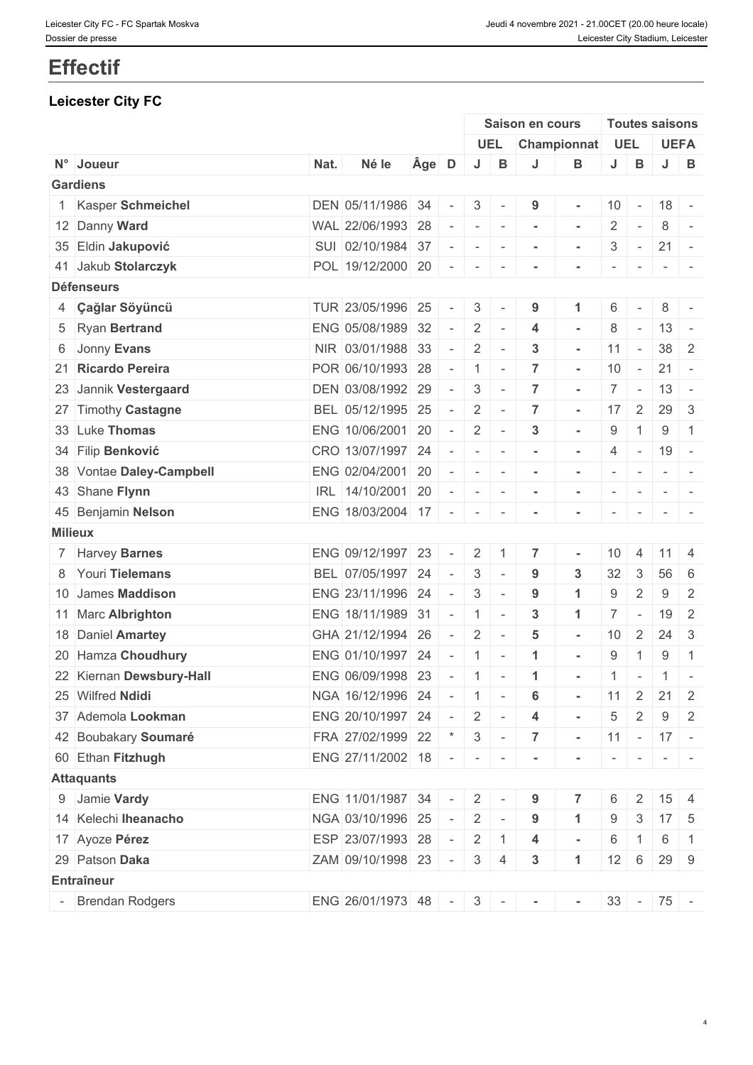# **Effectif**

# **Leicester City FC**

|                |                          |      |                         |                                |                          | Saison en cours                  |                          |                          |                | <b>Toutes saisons</b>    |                                                                                                              |
|----------------|--------------------------|------|-------------------------|--------------------------------|--------------------------|----------------------------------|--------------------------|--------------------------|----------------|--------------------------|--------------------------------------------------------------------------------------------------------------|
|                |                          |      |                         |                                | <b>UEL</b>               |                                  | Championnat              |                          | UEL            |                          | <b>UEFA</b>                                                                                                  |
|                | N° Joueur                | Nat. | Né le                   | Age D                          | J                        | B<br>J                           | В                        | J                        | $\, {\bf B}$   | $J -$                    | B                                                                                                            |
|                | <b>Gardiens</b>          |      |                         |                                |                          |                                  |                          |                          |                |                          |                                                                                                              |
|                | 1 Kasper Schmeichel      |      | DEN 05/11/1986 34       | $\overline{\phantom{a}}$       | 3 <sup>1</sup>           | 9<br>$\sim$                      | $\blacksquare$           | 10                       | $\sim$ $-$     | $18 -$                   |                                                                                                              |
|                | 12 Danny Ward            |      | WAL 22/06/1993 28       | $\overline{\phantom{a}}$       | $\sim$<br>$\sim$         | $\blacksquare$                   | $\sim$                   | $\overline{2}$           | $\sim$         | 8                        | $\sim$                                                                                                       |
|                | 35 Eldin Jakupović       |      | SUI 02/10/1984 37       | $\sim$                         | $\sim$                   | $\sim$<br>$\blacksquare$         | $\blacksquare$           | 3                        | $\sim$         | 21                       | $\sim$                                                                                                       |
|                | 41 Jakub Stolarczyk      |      | POL 19/12/2000 20       | $\sim$                         | $\sim$                   | $\sim$<br>$\blacksquare$         | $\blacksquare$           | $\overline{\phantom{a}}$ | $\sim$         |                          | $\sim$ 100 $\sim$                                                                                            |
|                | <b>Défenseurs</b>        |      |                         |                                |                          |                                  |                          |                          |                |                          |                                                                                                              |
|                | 4 Çağlar Söyüncü         |      | TUR 23/05/1996          | 25<br>$\overline{\phantom{a}}$ | 3                        | 9<br>$\overline{\phantom{a}}$    | $\blacktriangleleft$     | 6                        |                | 8                        |                                                                                                              |
|                | 5 Ryan Bertrand          |      | ENG 05/08/1989          | 32<br>$\overline{\phantom{a}}$ | $\overline{2}$<br>$\sim$ | 4                                | $\overline{\phantom{a}}$ | 8                        | $\sim$         | $13 -$                   |                                                                                                              |
|                | 6 Jonny Evans            |      | NIR 03/01/1988 33       | $\overline{\phantom{a}}$       | $\overline{2}$<br>$\sim$ | $\mathbf{3}$                     | $\sim$                   | 11                       | $\sim$         |                          | $38 \mid 2$                                                                                                  |
|                | 21 Ricardo Pereira       |      | POR 06/10/1993 28       | $\sim$                         | $1 -$                    | $\overline{7}$                   | $\sim$                   | 10                       | $\sim$         | $21 -$                   |                                                                                                              |
|                | 23 Jannik Vestergaard    |      | DEN 03/08/1992 29       | $\sim$                         | 3<br>$\sim$              | $\overline{7}$                   | $\blacksquare$           |                          | $7 -$          | $13 -$                   |                                                                                                              |
|                | 27 Timothy Castagne      |      | BEL 05/12/1995 25       | $\sim$                         | $2$ -                    | $\overline{7}$                   | $\sim$                   |                          | $17 \mid 2$    | $29 \mid 3$              |                                                                                                              |
|                | 33 Luke Thomas           |      | ENG 10/06/2001 20       | $\equiv$                       | $\overline{2}$           | $\mathbf{3}$<br>$\sim$           | $\sim$                   | 9                        | $\overline{1}$ | 9                        | $\overline{1}$                                                                                               |
|                | 34 Filip Benković        |      | CRO 13/07/1997          | 24<br>$\overline{\phantom{a}}$ | $\sim$                   | $\sim$<br>$\blacksquare$         | $\blacksquare$           | 4                        | $\sim$ $-$     | 19                       | $\sim$ $-$                                                                                                   |
|                | 38 Vontae Daley-Campbell |      | ENG 02/04/2001 20       | $\sim$                         | $-1 - 1$                 | $\blacksquare$                   | $\sim$                   | $\overline{\phantom{a}}$ | $\sim$         |                          | $\sim$ 100 $\sim$ 100 $\sim$                                                                                 |
|                | 43 Shane Flynn           |      | IRL 14/10/2001 20       | $\overline{\phantom{a}}$       | $\sim$<br>$\sim$         | $\sim$                           | $\blacksquare$           | $\overline{\phantom{a}}$ | $\sim$ $-$     | $\overline{\phantom{a}}$ |                                                                                                              |
|                | 45 Benjamin Nelson       |      | ENG 18/03/2004 17       | $\bar{a}$                      | $\sim$                   | $\sim$                           |                          |                          |                | $\sim$                   |                                                                                                              |
| <b>Milieux</b> |                          |      |                         |                                |                          |                                  |                          |                          |                |                          |                                                                                                              |
|                | 7 Harvey Barnes          |      | ENG 09/12/1997 23       |                                | $\overline{2}$           | $\overline{7}$<br>$\overline{1}$ | $\blacksquare$           | 10                       | $\overline{4}$ | 11                       | -4                                                                                                           |
|                | 8 Youri Tielemans        |      | BEL 07/05/1997          | 24<br>$\overline{\phantom{a}}$ | 3<br>$\sim$              | 9                                | $\mathbf{3}$             | 32                       | 3              | 56                       | 6                                                                                                            |
|                | 10 James Maddison        |      | ENG 23/11/1996 24       | $\sim$                         | 3<br>$\sim$              | 9                                | $\blacktriangleleft$     | 9                        | $\overline{2}$ | 9                        | 2                                                                                                            |
|                | 11 Marc Albrighton       |      | ENG 18/11/1989          | 31<br>$\overline{\phantom{a}}$ | $\mathbf{1}$             | 3<br>$\sim$                      | $\mathbf{1}$             |                          | $7$ -          | 19                       | $\overline{2}$                                                                                               |
|                | 18 Daniel Amartey        |      | GHA 21/12/1994          | 26<br>$\sim$                   | $\overline{2}$           | 5<br>$\sim$                      | $\sim$                   | 10                       | 2              | 24                       | $\overline{3}$                                                                                               |
|                | 20 Hamza Choudhury       |      | ENG 01/10/1997          | 24<br>$\sim$                   | $\overline{1}$           | -1<br>$\sim$                     | $\blacksquare$           | 9                        | -1             | 9                        | $\overline{1}$                                                                                               |
|                | 22 Kiernan Dewsbury-Hall |      | ENG 06/09/1998 23       | $\sim$                         | $\mathbf{1}$             | -1<br>$\sim$                     | $\blacksquare$           | 1                        | $\sim$         |                          | $1$ -                                                                                                        |
|                | 25 Wilfred Ndidi         |      | NGA 16/12/1996 24       | $\sim$                         | $\vert 1 \vert$ -        | 6                                |                          |                          | $11 \mid 2$    | $21 \quad 2$             |                                                                                                              |
|                | 37 Ademola Lookman       |      | ENG 20/10/1997 24       | $\sim$ $ \sim$                 | $2$ -                    | 4                                | $\sim$                   | $\overline{5}$           | 2              | 9                        | 2                                                                                                            |
|                | 42 Boubakary Soumaré     |      | FRA 27/02/1999 22 * 3 - |                                |                          | $\overline{7}$                   | $\sim$                   |                          |                | $11 - 17 -$              |                                                                                                              |
|                | 60 Ethan Fitzhugh        |      | ENG 27/11/2002 18 - - - |                                |                          | $\sim$                           |                          | $\sim$                   | $\mathbf{r}$   |                          | $\frac{1}{2} \left( \frac{1}{2} \right) \left( \frac{1}{2} \right) = \frac{1}{2} \left( \frac{1}{2} \right)$ |
|                | <b>Attaquants</b>        |      |                         |                                |                          |                                  |                          |                          |                |                          |                                                                                                              |
|                | 9 Jamie Vardy            |      | ENG 11/01/1987 34 -     |                                | $2$ -                    | 9                                | $\overline{7}$           | 6                        | $\overline{2}$ |                          | $15 \quad 4$                                                                                                 |
|                | 14 Kelechi Iheanacho     |      | NGA 03/10/1996 25       | $\sim$                         | $2$ -                    | 9                                | $\mathbf 1$              | 9                        | 3              | $17 \quad 5$             |                                                                                                              |
|                | 17 Ayoze Pérez           |      | ESP 23/07/1993 28       | $\sim$                         | $2 \mid 1$               | 4                                | $\sim$                   | 6                        | 1              | 6                        | $\overline{1}$                                                                                               |
|                | 29 Patson Daka           |      | ZAM 09/10/1998 23 -     |                                | 3 <sup>1</sup>           | $3\phantom{a}$<br>$\overline{4}$ | $\mathbf{1}$             | 12                       | 6              |                          | 29 9                                                                                                         |
|                | Entraîneur               |      |                         |                                |                          |                                  |                          |                          |                |                          |                                                                                                              |
|                | - Brendan Rodgers        |      | ENG 26/01/1973 48       |                                | $-3$ $-$                 |                                  |                          |                          |                | $33 - 75$ -              |                                                                                                              |
|                |                          |      |                         |                                |                          | $\sim$                           | $\blacksquare$           |                          |                |                          |                                                                                                              |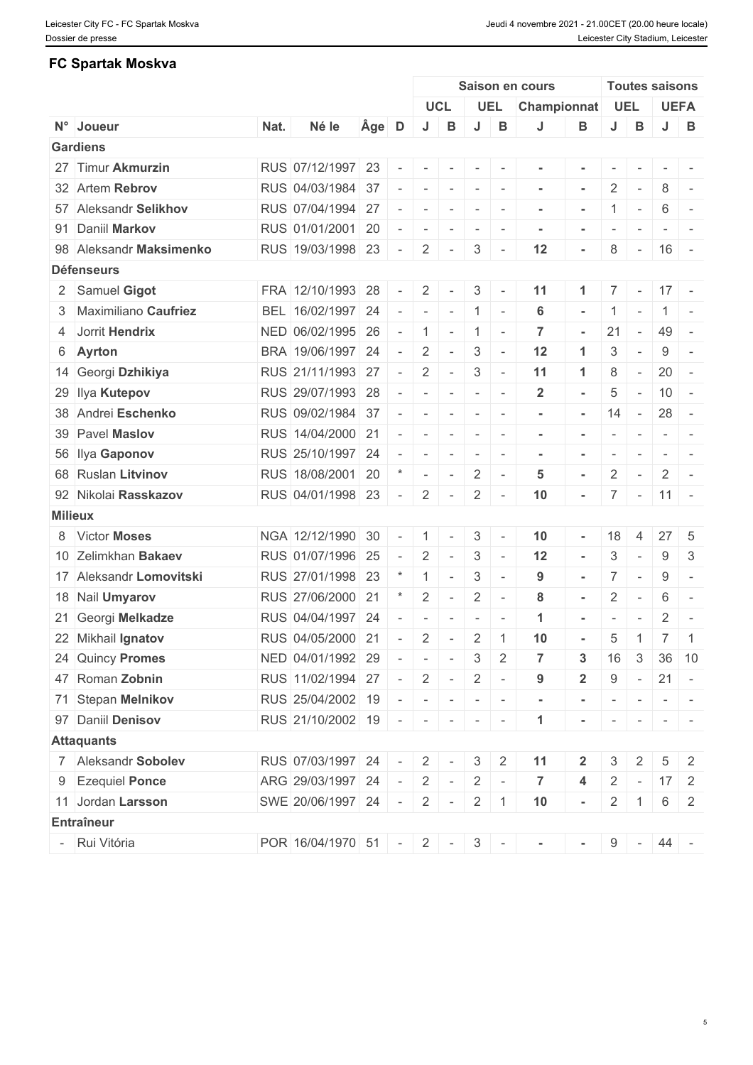#### **FC Spartak Moskva**

|                         |      |                             |       |                          |                          |                          |                                                                                                                                                                                                                                                                                                                                                                                                                                                                                        |                                                                  | Saison en cours |                          |                          |                          | <b>Toutes saisons</b> |                                                                                                                                                                                                                                                                                                                                                                                                                                                                                          |
|-------------------------|------|-----------------------------|-------|--------------------------|--------------------------|--------------------------|----------------------------------------------------------------------------------------------------------------------------------------------------------------------------------------------------------------------------------------------------------------------------------------------------------------------------------------------------------------------------------------------------------------------------------------------------------------------------------------|------------------------------------------------------------------|-----------------|--------------------------|--------------------------|--------------------------|-----------------------|------------------------------------------------------------------------------------------------------------------------------------------------------------------------------------------------------------------------------------------------------------------------------------------------------------------------------------------------------------------------------------------------------------------------------------------------------------------------------------------|
|                         |      |                             |       |                          |                          | <b>UCL</b>               |                                                                                                                                                                                                                                                                                                                                                                                                                                                                                        | <b>UEL</b>                                                       | Championnat     |                          | <b>UEL</b>               |                          |                       | <b>UEFA</b>                                                                                                                                                                                                                                                                                                                                                                                                                                                                              |
| N° Joueur               | Nat. | Né le                       | Age D |                          | J                        | B                        | J                                                                                                                                                                                                                                                                                                                                                                                                                                                                                      | В                                                                | J               | В                        | J                        | $\, {\bf B}$             | J                     | B                                                                                                                                                                                                                                                                                                                                                                                                                                                                                        |
| <b>Gardiens</b>         |      |                             |       |                          |                          |                          |                                                                                                                                                                                                                                                                                                                                                                                                                                                                                        |                                                                  |                 |                          |                          |                          |                       |                                                                                                                                                                                                                                                                                                                                                                                                                                                                                          |
| 27 Timur Akmurzin       |      | RUS 07/12/1997 23           |       | $\sim$                   |                          |                          | $\sim$                                                                                                                                                                                                                                                                                                                                                                                                                                                                                 | $\sim$                                                           |                 |                          |                          |                          |                       | $\mathcal{L} = \{ \mathcal{L} \mid \mathcal{L} = \mathcal{L} \}$                                                                                                                                                                                                                                                                                                                                                                                                                         |
| 32 Artem Rebrov         |      | RUS 04/03/1984 37           |       | $\overline{\phantom{a}}$ | $\sim$                   | $\sim$                   | $\sim$                                                                                                                                                                                                                                                                                                                                                                                                                                                                                 | $\sim$                                                           | $\sim$          | $\overline{\phantom{a}}$ | $\overline{2}$           | $\sim$ $-$               | 8                     | $\sim$                                                                                                                                                                                                                                                                                                                                                                                                                                                                                   |
| 57 Aleksandr Selikhov   |      | RUS 07/04/1994 27           |       | $\sim$                   | $\sim$                   | $\sim$                   | $\sim$                                                                                                                                                                                                                                                                                                                                                                                                                                                                                 | $\sim$                                                           |                 |                          |                          | $\sim$                   | 6                     | $\sim$                                                                                                                                                                                                                                                                                                                                                                                                                                                                                   |
| 91 Daniil Markov        |      | RUS 01/01/2001 20           |       | $\sim$                   | $\overline{\phantom{a}}$ | $\sim$                   | $\sim$                                                                                                                                                                                                                                                                                                                                                                                                                                                                                 | $\sim$                                                           |                 | $\blacksquare$           | $\overline{\phantom{a}}$ | $\sim$                   |                       | $\begin{array}{c c c c c c} \hline \multicolumn{1}{c }{\multicolumn{1}{c }{\multicolumn{1}{c}}}{\multicolumn{1}{c}}{\multicolumn{1}{c }{\multicolumn{1}{c}}}{\multicolumn{1}{c}}{\multicolumn{1}{c}}{\multicolumn{1}{c}}{\multicolumn{1}{c}}{\multicolumn{1}{c}}{\multicolumn{1}{c}}{\multicolumn{1}{c}}{\multicolumn{1}{c}}{\multicolumn{1}{c}}{\multicolumn{1}{c}}{\multicolumn{1}{c}}{\multicolumn{1}{c}}{\multicolumn{1}{c}}{\multicolumn{1}{c}}{\multicolumn{1}{c}}{\multicolumn{1$ |
| 98 Aleksandr Maksimenko |      | RUS 19/03/1998 23           |       | $\sim$                   | $\overline{2}$           | $\sim$                   | 3                                                                                                                                                                                                                                                                                                                                                                                                                                                                                      | $\sim$                                                           | 12              | ÷,                       | 8                        | $\sim$                   | $16 -$                |                                                                                                                                                                                                                                                                                                                                                                                                                                                                                          |
| <b>Défenseurs</b>       |      |                             |       |                          |                          |                          |                                                                                                                                                                                                                                                                                                                                                                                                                                                                                        |                                                                  |                 |                          |                          |                          |                       |                                                                                                                                                                                                                                                                                                                                                                                                                                                                                          |
| 2 Samuel Gigot          |      | FRA 12/10/1993 28           |       | $\sim$                   | $\overline{2}$           | $\sim$                   | 3                                                                                                                                                                                                                                                                                                                                                                                                                                                                                      | $\sim$                                                           | 11              | -1                       | $\overline{7}$           | $\sim$                   | $17 -$                |                                                                                                                                                                                                                                                                                                                                                                                                                                                                                          |
| 3 Maximiliano Caufriez  |      | BEL 16/02/1997 24           |       | $\overline{\phantom{a}}$ |                          |                          |                                                                                                                                                                                                                                                                                                                                                                                                                                                                                        | $1 -$                                                            | 6               | $\blacksquare$           | $\mathbf{1}$             | $\sim$                   |                       | $1$ -                                                                                                                                                                                                                                                                                                                                                                                                                                                                                    |
| 4 Jorrit Hendrix        |      | NED 06/02/1995 26           |       | $\overline{\phantom{a}}$ | 1                        | $\sim$                   |                                                                                                                                                                                                                                                                                                                                                                                                                                                                                        | $1 -$                                                            | $\overline{7}$  | $\blacksquare$           | 21                       | $\sim$ $-$               | 49 -                  |                                                                                                                                                                                                                                                                                                                                                                                                                                                                                          |
| 6 Ayrton                |      | BRA 19/06/1997 24           |       | $\sim$                   | 2                        | $\sim$                   | 3                                                                                                                                                                                                                                                                                                                                                                                                                                                                                      | $\sim$                                                           | 12              | $\blacktriangleleft$     | 3                        | $\sim$                   | 9                     | $\sim$                                                                                                                                                                                                                                                                                                                                                                                                                                                                                   |
| 14 Georgi Dzhikiya      |      | RUS 21/11/1993 27           |       | $\sim$                   | 2                        | $\sim$                   | 3                                                                                                                                                                                                                                                                                                                                                                                                                                                                                      | $\sim$                                                           | 11              | $\blacktriangleleft$     | 8                        | $\sim$                   | $20 -$                |                                                                                                                                                                                                                                                                                                                                                                                                                                                                                          |
| 29 Ilya Kutepov         |      | RUS 29/07/1993 28           |       |                          | $\sim$                   | $\sim$                   | $\sim$                                                                                                                                                                                                                                                                                                                                                                                                                                                                                 | $\sim$                                                           | $\overline{2}$  | $\blacksquare$           | 5                        | $\sim$                   | $10 -$                |                                                                                                                                                                                                                                                                                                                                                                                                                                                                                          |
| 38 Andrei Eschenko      |      | RUS 09/02/1984 37           |       | $\overline{\phantom{a}}$ | $\sim$                   | $\sim$                   | $\sim$                                                                                                                                                                                                                                                                                                                                                                                                                                                                                 | $\sim$                                                           |                 | $\blacksquare$           | 14                       | $\sim$                   | $28 -$                |                                                                                                                                                                                                                                                                                                                                                                                                                                                                                          |
| 39 Pavel Maslov         |      | RUS 14/04/2000 21           |       | $\sim$                   | $\sim$                   | $\sim$                   |                                                                                                                                                                                                                                                                                                                                                                                                                                                                                        | $\mathcal{L} = \{ \mathcal{L} \mid \mathcal{L} = \mathcal{L} \}$ | $\sim$          | $\blacksquare$           | $\overline{\phantom{a}}$ | $\sim$                   |                       | $\mathcal{L} = \{ \mathcal{L} \mid \mathcal{L} = \mathcal{L} \}$                                                                                                                                                                                                                                                                                                                                                                                                                         |
| 56 Ilya Gaponov         |      | RUS 25/10/1997 24           |       | $\overline{\phantom{a}}$ | $\sim$                   | $\sim$                   | $\sim$                                                                                                                                                                                                                                                                                                                                                                                                                                                                                 | $\sim$                                                           | $\sim$          | $\blacksquare$           | $\overline{\phantom{a}}$ | $\sim$                   |                       | $\sim$ 100 $\sim$ 100 $\sim$                                                                                                                                                                                                                                                                                                                                                                                                                                                             |
| 68 Ruslan Litvinov      |      | RUS 18/08/2001 20           |       | $^\star$                 | $\sim$                   | $\overline{\phantom{a}}$ | 2                                                                                                                                                                                                                                                                                                                                                                                                                                                                                      | $\sim$                                                           | 5               |                          | $\overline{2}$           | $\sim$                   | $\overline{2}$        | $\sim$                                                                                                                                                                                                                                                                                                                                                                                                                                                                                   |
| 92 Nikolai Rasskazov    |      | RUS 04/01/1998 23           |       | $\sim$                   | $\overline{2}$           | $\sim$                   | $\overline{2}$                                                                                                                                                                                                                                                                                                                                                                                                                                                                         | $\sim$                                                           | 10              | $\blacksquare$           |                          |                          | $7 - 11 -$            |                                                                                                                                                                                                                                                                                                                                                                                                                                                                                          |
| <b>Milieux</b>          |      |                             |       |                          |                          |                          |                                                                                                                                                                                                                                                                                                                                                                                                                                                                                        |                                                                  |                 |                          |                          |                          |                       |                                                                                                                                                                                                                                                                                                                                                                                                                                                                                          |
| 8 Victor Moses          |      | NGA 12/12/1990 30           |       | $\overline{\phantom{a}}$ | $\mathbf{1}$             | $\sim$                   | 3                                                                                                                                                                                                                                                                                                                                                                                                                                                                                      | $\sim$                                                           | 10              | $\overline{a}$           | 18                       | $\overline{4}$           | 27                    | -5                                                                                                                                                                                                                                                                                                                                                                                                                                                                                       |
| 10 Zelimkhan Bakaev     |      | RUS 01/07/1996 25           |       | $\sim$                   | 2                        | $\overline{\phantom{a}}$ | 3                                                                                                                                                                                                                                                                                                                                                                                                                                                                                      | $\sim$                                                           | 12              | $\blacksquare$           | 3                        | $\overline{\phantom{a}}$ | 9                     | 3                                                                                                                                                                                                                                                                                                                                                                                                                                                                                        |
| 17 Aleksandr Lomovitski |      | RUS 27/01/1998 23           |       |                          | $\mathbf{1}$             | $\sim$                   | 3                                                                                                                                                                                                                                                                                                                                                                                                                                                                                      | $\sim$                                                           | 9               | $\overline{\phantom{m}}$ |                          | $7$ -                    | $9\,$                 | $\overline{a}$                                                                                                                                                                                                                                                                                                                                                                                                                                                                           |
| 18 Nail Umyarov         |      | RUS 27/06/2000 21           |       |                          | 2                        | $\sim$                   | $\overline{2}$                                                                                                                                                                                                                                                                                                                                                                                                                                                                         | $\sim$                                                           | 8               | $\sim$                   | $\overline{2}$           | $\sim$                   | 6                     | $\sim$                                                                                                                                                                                                                                                                                                                                                                                                                                                                                   |
| 21 Georgi Melkadze      |      | RUS 04/04/1997 24           |       | $\sim$                   | $\sim$                   | $\overline{\phantom{a}}$ | $\sim$                                                                                                                                                                                                                                                                                                                                                                                                                                                                                 | $\sim$                                                           | -1              |                          | $\overline{\phantom{a}}$ | $\sim$                   | $\overline{2}$        | $\overline{\phantom{a}}$                                                                                                                                                                                                                                                                                                                                                                                                                                                                 |
| 22 Mikhail Ignatov      |      | RUS 04/05/2000 21           |       | $\sim$                   | $\overline{2}$           | $\sim$                   | $\overline{2}$                                                                                                                                                                                                                                                                                                                                                                                                                                                                         | $\overline{1}$                                                   | 10              |                          | 5                        | $\overline{1}$           | $7 \mid 1$            |                                                                                                                                                                                                                                                                                                                                                                                                                                                                                          |
| 24 Quincy Promes        |      | NED 04/01/1992 29           |       | $\sim$                   | $\sim$                   | $\sim$                   | 3 <sup>1</sup>                                                                                                                                                                                                                                                                                                                                                                                                                                                                         | $\overline{2}$                                                   | $\overline{7}$  | 3                        | 16                       | 3                        |                       | 36 10                                                                                                                                                                                                                                                                                                                                                                                                                                                                                    |
| 47 Roman Zobnin         |      | RUS 11/02/1994 27           |       | $\sim$ $-$               |                          | $2$ -                    | $2 -$                                                                                                                                                                                                                                                                                                                                                                                                                                                                                  |                                                                  | 9               | $\mathbf{2}$             | 9                        | $\sim$ $ \sim$           | $21 -$                |                                                                                                                                                                                                                                                                                                                                                                                                                                                                                          |
| 71 Stepan Melnikov      |      | RUS 25/04/2002 19           |       | $\sim$                   |                          |                          | $\begin{array}{cccccccccc} \multicolumn{2}{c}{} & \multicolumn{2}{c}{} & \multicolumn{2}{c}{} & \multicolumn{2}{c}{} & \multicolumn{2}{c}{} & \multicolumn{2}{c}{} & \multicolumn{2}{c}{} & \multicolumn{2}{c}{} & \multicolumn{2}{c}{} & \multicolumn{2}{c}{} & \multicolumn{2}{c}{} & \multicolumn{2}{c}{} & \multicolumn{2}{c}{} & \multicolumn{2}{c}{} & \multicolumn{2}{c}{} & \multicolumn{2}{c}{} & \multicolumn{2}{c}{} & \multicolumn{2}{c}{} & \multicolumn{2}{c}{} & \mult$ |                                                                  | $\sim$          | $\sim$                   | $\sim$                   | $\sim$                   |                       |                                                                                                                                                                                                                                                                                                                                                                                                                                                                                          |
| 97 Daniil Denisov       |      | RUS 21/10/2002 19           |       |                          | $       -$               |                          |                                                                                                                                                                                                                                                                                                                                                                                                                                                                                        |                                                                  | $\mathbf{1}$    | $\sim$                   |                          | $\sim$ 100 $\sim$        |                       | $\mathcal{L} = \mathcal{L} \times \mathcal{L} = \mathcal{L} \times \mathcal{L}$                                                                                                                                                                                                                                                                                                                                                                                                          |
| <b>Attaquants</b>       |      |                             |       |                          |                          |                          |                                                                                                                                                                                                                                                                                                                                                                                                                                                                                        |                                                                  |                 |                          |                          |                          |                       |                                                                                                                                                                                                                                                                                                                                                                                                                                                                                          |
| 7 Aleksandr Sobolev     |      | RUS 07/03/1997 24 -         |       |                          | 2 <sup>1</sup>           | $\sim$                   | $\mathbf{3}$                                                                                                                                                                                                                                                                                                                                                                                                                                                                           | 2                                                                | 11              | $\mathbf{2}$             | 3                        | $\overline{2}$           | 5                     | 2                                                                                                                                                                                                                                                                                                                                                                                                                                                                                        |
| 9 Ezequiel Ponce        |      | ARG 29/03/1997 24           |       | $\sim$                   |                          | $2$ -                    |                                                                                                                                                                                                                                                                                                                                                                                                                                                                                        | $2$ -                                                            | $\overline{7}$  | 4                        |                          |                          | $2 - 17$ 2            |                                                                                                                                                                                                                                                                                                                                                                                                                                                                                          |
| 11 Jordan Larsson       |      | SWE 20/06/1997 24 -         |       |                          | $\overline{2}$           | $\sim$                   |                                                                                                                                                                                                                                                                                                                                                                                                                                                                                        | $2 \mid 1 \mid$                                                  | 10              | $\sim$                   | $\overline{2}$           | $\vert 1 \vert$          |                       | $6 \mid 2$                                                                                                                                                                                                                                                                                                                                                                                                                                                                               |
| <b>Entraîneur</b>       |      |                             |       |                          |                          |                          |                                                                                                                                                                                                                                                                                                                                                                                                                                                                                        |                                                                  |                 |                          |                          |                          |                       |                                                                                                                                                                                                                                                                                                                                                                                                                                                                                          |
|                         |      |                             |       |                          |                          |                          |                                                                                                                                                                                                                                                                                                                                                                                                                                                                                        |                                                                  |                 |                          |                          |                          |                       |                                                                                                                                                                                                                                                                                                                                                                                                                                                                                          |
| - Rui Vitória           |      | POR 16/04/1970 51 - 2 - 3 - |       |                          |                          |                          |                                                                                                                                                                                                                                                                                                                                                                                                                                                                                        |                                                                  | $\sim$          | $\sim$                   |                          |                          | $9 - 44 -$            |                                                                                                                                                                                                                                                                                                                                                                                                                                                                                          |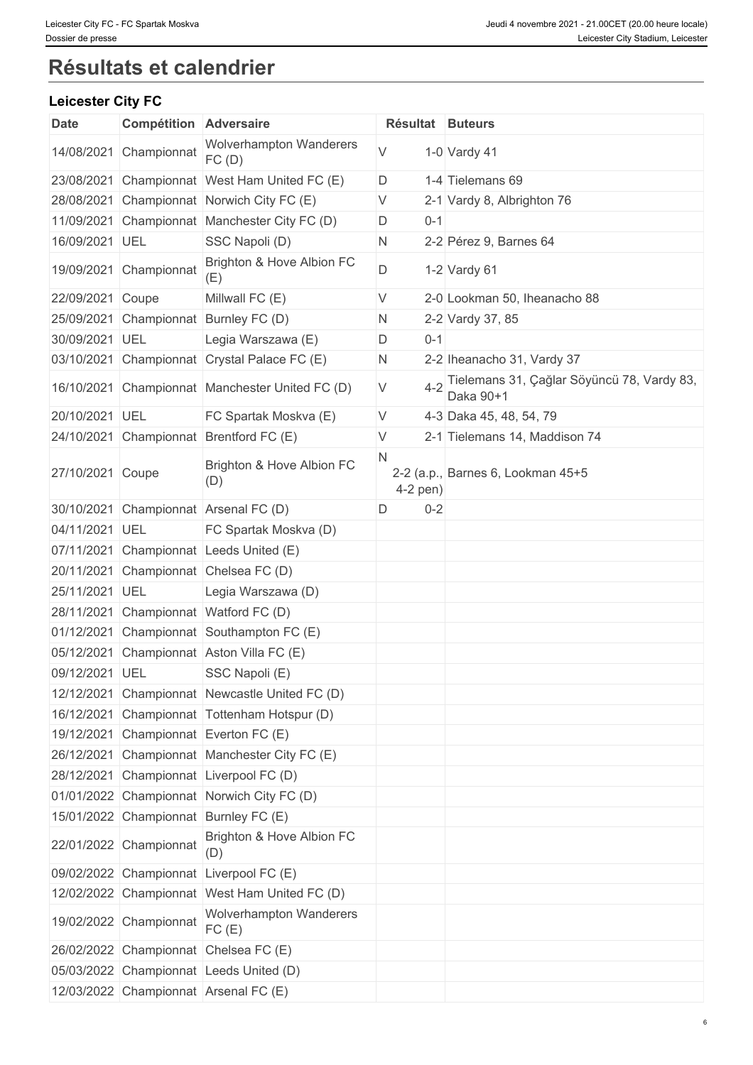# **Résultats et calendrier**

### **Leicester City FC**

| Date             | <b>Compétition Adversaire</b> |                                                 |   |            | Résultat Buteurs                                        |
|------------------|-------------------------------|-------------------------------------------------|---|------------|---------------------------------------------------------|
|                  | 14/08/2021 Championnat        | <b>Wolverhampton Wanderers</b><br>FC(D)         | V |            | 1-0 Vardy 41                                            |
|                  |                               | 23/08/2021 Championnat West Ham United FC (E)   | D |            | 1-4 Tielemans 69                                        |
|                  |                               | 28/08/2021 Championnat Norwich City FC (E)      | V |            | 2-1 Vardy 8, Albrighton 76                              |
|                  |                               | 11/09/2021 Championnat Manchester City FC (D)   | D | $0 - 1$    |                                                         |
| 16/09/2021 UEL   |                               | SSC Napoli (D)                                  | N |            | 2-2 Pérez 9, Barnes 64                                  |
|                  | 19/09/2021 Championnat        | Brighton & Hove Albion FC<br>(E)                | D |            | 1-2 Vardy $61$                                          |
| 22/09/2021 Coupe |                               | Millwall FC (E)                                 | V |            | 2-0 Lookman 50, Iheanacho 88                            |
|                  |                               | 25/09/2021 Championnat Burnley FC (D)           | N |            | 2-2 Vardy 37, 85                                        |
| 30/09/2021 UEL   |                               | Legia Warszawa (E)                              | D | $0 - 1$    |                                                         |
|                  |                               | 03/10/2021 Championnat Crystal Palace FC (E)    | N |            | 2-2 Iheanacho 31, Vardy 37                              |
|                  |                               | 16/10/2021 Championnat Manchester United FC (D) | V | $4 - 2$    | Tielemans 31, Çağlar Söyüncü 78, Vardy 83,<br>Daka 90+1 |
| 20/10/2021 UEL   |                               | FC Spartak Moskva (E)                           | V |            | 4-3 Daka 45, 48, 54, 79                                 |
|                  |                               | 24/10/2021 Championnat Brentford FC (E)         | V |            | 2-1 Tielemans 14, Maddison 74                           |
| 27/10/2021 Coupe |                               | Brighton & Hove Albion FC<br>(D)                | N | $4-2$ pen) | 2-2 (a.p., Barnes 6, Lookman 45+5                       |
|                  |                               | 30/10/2021 Championnat Arsenal FC (D)           | D | $0 - 2$    |                                                         |
| 04/11/2021 UEL   |                               | FC Spartak Moskva (D)                           |   |            |                                                         |
|                  |                               | 07/11/2021 Championnat Leeds United (E)         |   |            |                                                         |
|                  |                               | 20/11/2021 Championnat Chelsea FC (D)           |   |            |                                                         |
| 25/11/2021 UEL   |                               | Legia Warszawa (D)                              |   |            |                                                         |
|                  |                               | 28/11/2021 Championnat Watford FC (D)           |   |            |                                                         |
|                  |                               | 01/12/2021 Championnat Southampton FC (E)       |   |            |                                                         |
|                  |                               | 05/12/2021 Championnat Aston Villa FC (E)       |   |            |                                                         |
| 09/12/2021 UEL   |                               | SSC Napoli (E)                                  |   |            |                                                         |
|                  |                               | 12/12/2021 Championnat Newcastle United FC (D)  |   |            |                                                         |
|                  |                               | 16/12/2021 Championnat Tottenham Hotspur (D)    |   |            |                                                         |
|                  |                               | 19/12/2021 Championnat Everton FC (E)           |   |            |                                                         |
|                  |                               | 26/12/2021 Championnat Manchester City FC (E)   |   |            |                                                         |
|                  |                               | 28/12/2021 Championnat Liverpool FC (D)         |   |            |                                                         |
|                  |                               | 01/01/2022 Championnat Norwich City FC (D)      |   |            |                                                         |
|                  |                               | 15/01/2022 Championnat Burnley FC (E)           |   |            |                                                         |
|                  | 22/01/2022 Championnat        | Brighton & Hove Albion FC<br>(D)                |   |            |                                                         |
|                  |                               | 09/02/2022 Championnat Liverpool FC (E)         |   |            |                                                         |
|                  |                               | 12/02/2022 Championnat West Ham United FC (D)   |   |            |                                                         |
|                  | 19/02/2022 Championnat        | <b>Wolverhampton Wanderers</b><br>FC(E)         |   |            |                                                         |
|                  |                               | 26/02/2022 Championnat Chelsea FC (E)           |   |            |                                                         |
|                  |                               | 05/03/2022 Championnat Leeds United (D)         |   |            |                                                         |
|                  |                               | 12/03/2022 Championnat Arsenal FC (E)           |   |            |                                                         |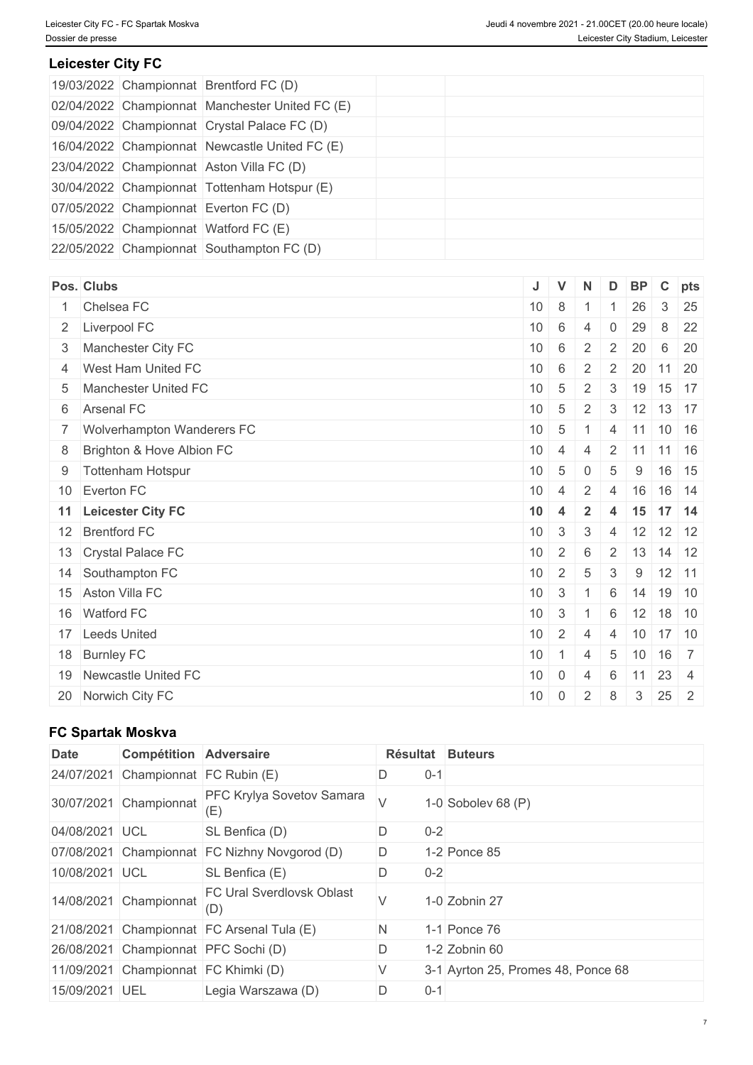### **Leicester City FC**

|  | 19/03/2022 Championnat Brentford FC (D)         |  |  |  |
|--|-------------------------------------------------|--|--|--|
|  | 02/04/2022 Championnat Manchester United FC (E) |  |  |  |
|  | 09/04/2022 Championnat Crystal Palace FC (D)    |  |  |  |
|  | 16/04/2022 Championnat Newcastle United FC (E)  |  |  |  |
|  | 23/04/2022 Championnat Aston Villa FC (D)       |  |  |  |
|  | 30/04/2022 Championnat Tottenham Hotspur (E)    |  |  |  |
|  | 07/05/2022 Championnat Everton FC (D)           |  |  |  |
|  | 15/05/2022 Championnat Watford FC (E)           |  |  |  |
|  | 22/05/2022 Championnat Southampton FC (D)       |  |  |  |

| Pos. Clubs                     | J               | $\mathbf V$     | N              | D              | <b>BP</b>  | $\mathbf{C}$                      | pts            |
|--------------------------------|-----------------|-----------------|----------------|----------------|------------|-----------------------------------|----------------|
| 1 Chelsea FC                   | 10 <sup>°</sup> | 8               |                |                | 26         | 3                                 | 25             |
| 2 Liverpool FC                 | 10              | 6               | $\overline{4}$ | 0              | 29         | 8                                 | 22             |
| 3 Manchester City FC           | 10              | $\,6\,$         | 2              | $\overline{2}$ | 20         | 6                                 | 20             |
| 4 West Ham United FC           | 10              | 6               | 2              | $\overline{2}$ | 20         | $11 \overline{\smash{\big)}\ 20}$ |                |
| 5 Manchester United FC         | 10 <sup>°</sup> | $\overline{5}$  | 2              | 3              | 19         | $15$ 17                           |                |
| 6 Arsenal FC                   | 10              | $5\phantom{.0}$ | 2              | 3              | $12$ 13 17 |                                   |                |
| 7   Wolverhampton Wanderers FC | 10              | $\overline{5}$  |                | 4              | $11$ 10 16 |                                   |                |
| 8 Brighton & Hove Albion FC    | 10              | $\overline{4}$  | $\overline{4}$ | 2              | 11         | $11 \mid 16$                      |                |
| 9 Tottenham Hotspur            | 10              | $\overline{5}$  | $\mathbf 0$    | 5              | 9          |                                   | 16 15          |
| 10 Everton FC                  | 10 <sup>1</sup> | $\overline{4}$  | $\overline{2}$ | $\overline{4}$ | 16         | 16 14                             |                |
| 11 Leicester City FC           | 10              | $\overline{4}$  | $\overline{2}$ | $\overline{4}$ | $15$ 17 14 |                                   |                |
| 12 Brentford FC                | 10              | 3               | 3              | $\overline{4}$ | 12         | $12$ 12                           |                |
| 13 Crystal Palace FC           | 10 <sup>1</sup> | 2               | 6              | $\overline{2}$ | 13         | $14$ 12                           |                |
| 14 Southampton FC              | 10              | 2               | 5              | 3              | 9          | $12$ 11                           |                |
| 15 Aston Villa FC              | 10              | $\mathbf{3}$    | $\overline{1}$ | 6              | 14         | 19 10                             |                |
| 16 Watford FC                  | 10              | $\mathbf{3}$    |                | 6              | 12         | 18 10                             |                |
| 17 Leeds United                | 10              | 2               | $\overline{4}$ | $\overline{4}$ | 10         | $17$ 10                           |                |
| 18 Burnley FC                  | 10              | $\overline{1}$  | $\overline{4}$ | 5              | 10         | $16 \overline{\smash{\big)}\ 7}$  |                |
| 19 Newcastle United FC         | 10              | $\overline{0}$  | 4              | 6              | 11         | $23 \mid 4$                       |                |
| 20 Norwich City FC             | 10              | 0               | 2              | 8              | 3          | 25                                | $\overline{2}$ |
|                                |                 |                 |                |                |            |                                   |                |

## **FC Spartak Moskva**

| <b>Date</b>    | <b>Compétition Adversaire</b> |                                               | Résultat |         | <b>Buteurs</b>                     |
|----------------|-------------------------------|-----------------------------------------------|----------|---------|------------------------------------|
| 24/07/2021     | Championnat FC Rubin (E)      |                                               |          | $0 - 1$ |                                    |
|                | 30/07/2021 Championnat        | PFC Krylya Sovetov Samara<br>(ヒ)              |          |         | 1-0 Sobolev 68 $(P)$               |
| 04/08/2021 UCL |                               | SL Benfica (D)                                |          | $0 - 2$ |                                    |
|                |                               | 07/08/2021 Championnat FC Nizhny Novgorod (D) | D.       |         | 1-2 Ponce 85                       |
| 10/08/2021 UCL |                               | SL Benfica (E)                                |          | $0 - 2$ |                                    |
|                | 14/08/2021 Championnat        | <b>FC Ural Sverdlovsk Oblast</b><br>(D)       |          |         | 1-0 Zobnin 27                      |
|                |                               | 21/08/2021 Championnat FC Arsenal Tula (E)    | N        |         | 1-1 Ponce 76                       |
|                |                               | 26/08/2021 Championnat PFC Sochi (D)          | D        |         | 1-2 Zobnin 60                      |
|                |                               | 11/09/2021 Championnat FC Khimki (D)          |          |         | 3-1 Ayrton 25, Promes 48, Ponce 68 |
| 15/09/2021 UEL |                               | Legia Warszawa (D)                            | D        | $0 - 1$ |                                    |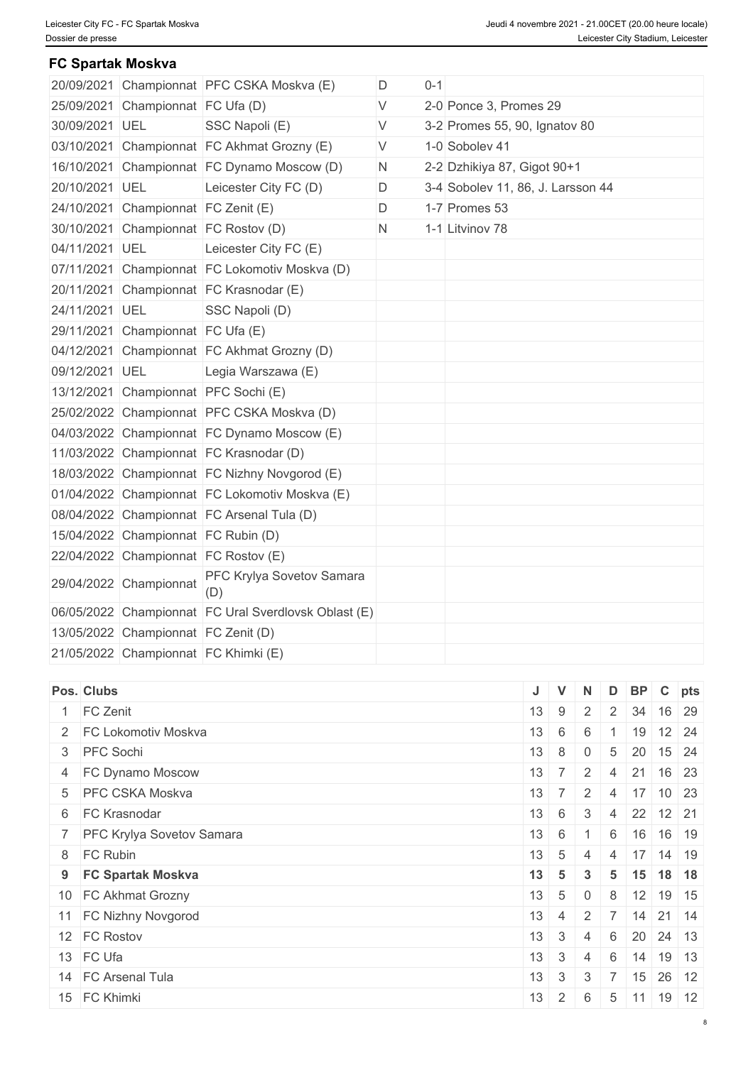#### **FC Spartak Moskva**

|                |                                     | 20/09/2021 Championnat PFC CSKA Moskva (E)           | D  | $0 - 1$ |                                   |  |
|----------------|-------------------------------------|------------------------------------------------------|----|---------|-----------------------------------|--|
|                |                                     |                                                      | V  |         |                                   |  |
|                | 25/09/2021 Championnat FC Ufa (D)   |                                                      |    |         | 2-0 Ponce 3, Promes 29            |  |
| 30/09/2021 UEL |                                     | SSC Napoli (E)                                       | V  |         | 3-2 Promes 55, 90, Ignatov 80     |  |
|                |                                     | 03/10/2021 Championnat FC Akhmat Grozny (E)          | V  |         | 1-0 Sobolev 41                    |  |
|                |                                     | 16/10/2021 Championnat FC Dynamo Moscow (D)          | N. |         | 2-2 Dzhikiya 87, Gigot 90+1       |  |
| 20/10/2021 UEL |                                     | Leicester City FC (D)                                | D  |         | 3-4 Sobolev 11, 86, J. Larsson 44 |  |
|                | 24/10/2021 Championnat FC Zenit (E) |                                                      | D  |         | 1-7 Promes 53                     |  |
|                |                                     | 30/10/2021 Championnat FC Rostov (D)                 | N  |         | 1-1 Litvinov 78                   |  |
| 04/11/2021 UEL |                                     | Leicester City FC (E)                                |    |         |                                   |  |
|                |                                     | 07/11/2021 Championnat FC Lokomotiv Moskva (D)       |    |         |                                   |  |
|                |                                     | 20/11/2021 Championnat FC Krasnodar (E)              |    |         |                                   |  |
| 24/11/2021 UEL |                                     | SSC Napoli (D)                                       |    |         |                                   |  |
|                | 29/11/2021 Championnat FC Ufa (E)   |                                                      |    |         |                                   |  |
|                |                                     | 04/12/2021 Championnat FC Akhmat Grozny (D)          |    |         |                                   |  |
| 09/12/2021 UEL |                                     | Legia Warszawa (E)                                   |    |         |                                   |  |
|                |                                     | 13/12/2021 Championnat PFC Sochi (E)                 |    |         |                                   |  |
|                |                                     | 25/02/2022 Championnat PFC CSKA Moskva (D)           |    |         |                                   |  |
|                |                                     | 04/03/2022 Championnat FC Dynamo Moscow (E)          |    |         |                                   |  |
|                |                                     | 11/03/2022 Championnat FC Krasnodar (D)              |    |         |                                   |  |
|                |                                     | 18/03/2022 Championnat FC Nizhny Novgorod (E)        |    |         |                                   |  |
|                |                                     | 01/04/2022 Championnat FC Lokomotiv Moskva (E)       |    |         |                                   |  |
|                |                                     | 08/04/2022 Championnat FC Arsenal Tula (D)           |    |         |                                   |  |
|                | 15/04/2022 Championnat FC Rubin (D) |                                                      |    |         |                                   |  |
|                |                                     | 22/04/2022 Championnat FC Rostov (E)                 |    |         |                                   |  |
|                | 29/04/2022 Championnat              | PFC Krylya Sovetov Samara<br>(D)                     |    |         |                                   |  |
|                |                                     | 06/05/2022 Championnat FC Ural Sverdlovsk Oblast (E) |    |         |                                   |  |
|                | 13/05/2022 Championnat FC Zenit (D) |                                                      |    |         |                                   |  |
|                |                                     | 21/05/2022 Championnat FC Khimki (E)                 |    |         |                                   |  |
|                |                                     |                                                      |    |         |                                   |  |

| Pos. Clubs                  |                 | $\mathbf{V}$   | N              | D              | $BP \mid C \mid pts$ |                      |              |
|-----------------------------|-----------------|----------------|----------------|----------------|----------------------|----------------------|--------------|
| 1 FC Zenit                  | 13              | 9              | $\overline{2}$ | 2 <sup>1</sup> | 34                   | 16 29                |              |
| 2 FC Lokomotiv Moskva       | 13              | 6              | 6              |                | 19                   |                      | $12 \mid 24$ |
| 3 PFC Sochi                 | $13 \quad 8$    |                | $\overline{0}$ | 5              |                      | $20$ 15 24           |              |
| 4 FC Dynamo Moscow          | 13              | $\overline{7}$ | $2^{\circ}$    | 4              | 21                   | 16 23                |              |
| 5 PFC CSKA Moskva           | 13 <sup>1</sup> | $-7$           | 2              | 4              | 17                   |                      | $10 \mid 23$ |
| 6 FC Krasnodar              | $13 \quad 6$    |                | $\mathbf{3}$   | 4              | 22 12 21             |                      |              |
| 7 PFC Krylya Sovetov Samara | $13 \quad 6$    |                | $\overline{1}$ | 6              |                      | 16 16 19             |              |
| 8 FC Rubin                  | 13              | 5              | 4              | 4              | 17 <sup>1</sup>      |                      | $14$ 19      |
| 9 FC Spartak Moskva         | $13 \mid 5$     |                | $\mathbf{3}$   | 5              |                      | $15$ 18 18           |              |
| 10 FC Akhmat Grozny         | $13 \quad 5$    |                | $\overline{0}$ | 8              | $12$ 19 15           |                      |              |
| 11 FC Nizhny Novgorod       | 13 <sup>1</sup> | 4              | 2              |                |                      | $14$ 21 14           |              |
| 12 FC Rostov                | 13              | $\mathbf{3}$   | 4              | 6              |                      | $20 \mid 24 \mid 13$ |              |
| 13 FC Ufa                   | 13              | $\mathbf{3}$   | $\overline{4}$ | 6              | 14                   | 19 13                |              |
| 14 FC Arsenal Tula          | 13              | 3              | 3              |                | 15 26 12             |                      |              |
| 15 FC Khimki                | 13              | $\overline{2}$ | 6              | 5              | 11                   | 19 12                |              |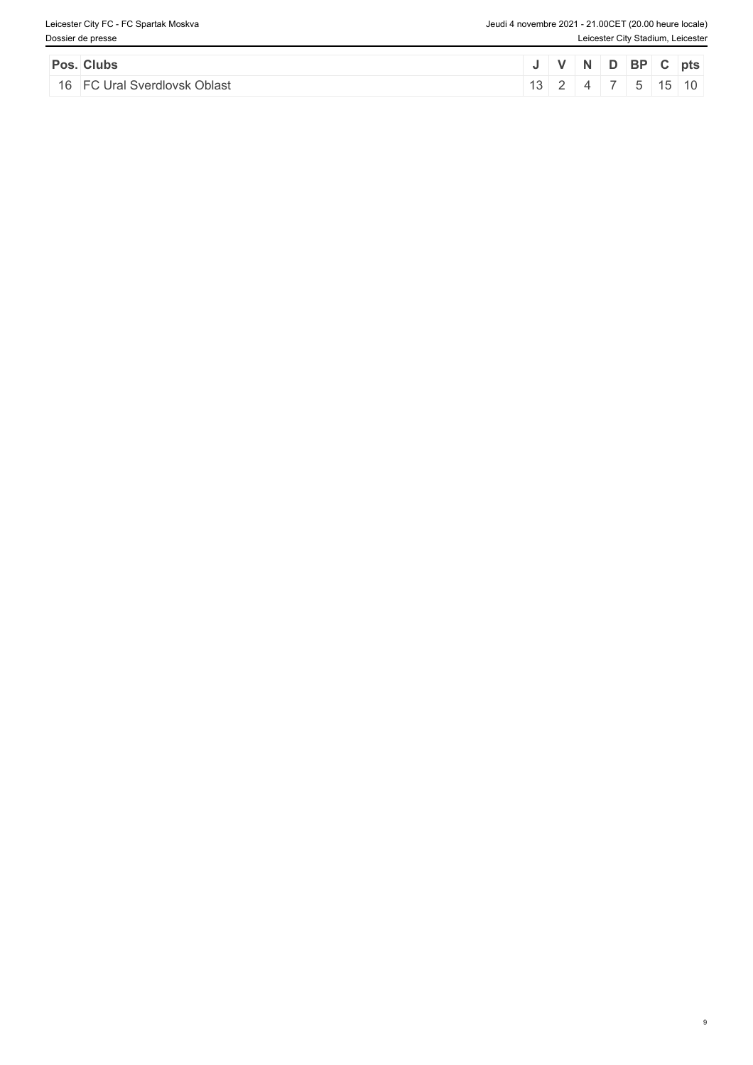9

| Pos. Clubs                   |  |                | I V N D BP C pts    |  |  |
|------------------------------|--|----------------|---------------------|--|--|
| 16 FC Ural Sverdlovsk Oblast |  | $\overline{4}$ | $5 \mid 15 \mid 10$ |  |  |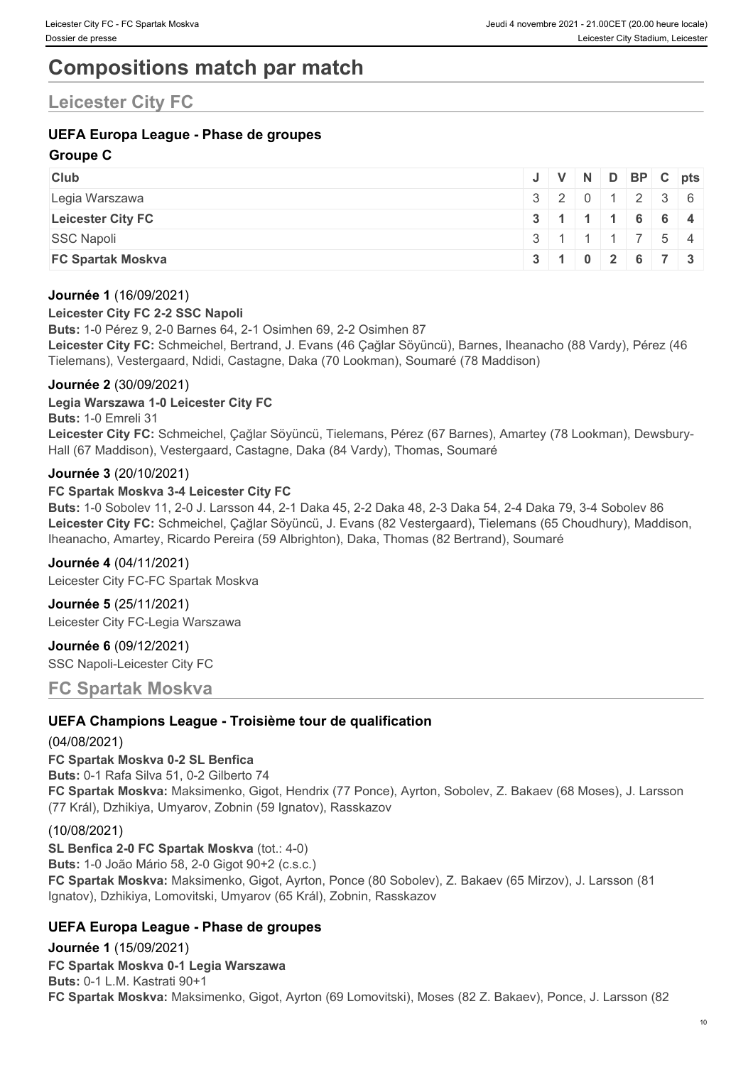# **Compositions match par match**

# **Leicester City FC**

### **UEFA Europa League - Phase de groupes**

#### **Groupe C**

| <b>Club</b>              |  |  | J V N D BP C pts                              |  |
|--------------------------|--|--|-----------------------------------------------|--|
| Legia Warszawa           |  |  | $3 \mid 2 \mid 0 \mid 1 \mid 2 \mid 3 \mid 6$ |  |
| <b>Leicester City FC</b> |  |  | 3 1 1 1 6 6 4                                 |  |
| <b>SSC Napoli</b>        |  |  | $3 \mid 1 \mid 1 \mid 1 \mid 7 \mid 5 \mid 4$ |  |
| <b>FC Spartak Moskva</b> |  |  | $3 \mid 1 \mid 0 \mid 2 \mid 6 \mid 7 \mid 3$ |  |

#### **Journée 1** (16/09/2021)

#### **Leicester City FC 2-2 SSC Napoli**

**Buts:** 1-0 Pérez 9, 2-0 Barnes 64, 2-1 Osimhen 69, 2-2 Osimhen 87 **Leicester City FC:** Schmeichel, Bertrand, J. Evans (46 Çağlar Söyüncü), Barnes, Iheanacho (88 Vardy), Pérez (46 Tielemans), Vestergaard, Ndidi, Castagne, Daka (70 Lookman), Soumaré (78 Maddison)

#### **Journée 2** (30/09/2021)

#### **Legia Warszawa 1-0 Leicester City FC**

**Buts:** 1-0 Emreli 31

**Leicester City FC:** Schmeichel, Çağlar Söyüncü, Tielemans, Pérez (67 Barnes), Amartey (78 Lookman), Dewsbury-Hall (67 Maddison), Vestergaard, Castagne, Daka (84 Vardy), Thomas, Soumaré

#### **Journée 3** (20/10/2021)

#### **FC Spartak Moskva 3-4 Leicester City FC**

**Buts:** 1-0 Sobolev 11, 2-0 J. Larsson 44, 2-1 Daka 45, 2-2 Daka 48, 2-3 Daka 54, 2-4 Daka 79, 3-4 Sobolev 86 **Leicester City FC:** Schmeichel, Çağlar Söyüncü, J. Evans (82 Vestergaard), Tielemans (65 Choudhury), Maddison, Iheanacho, Amartey, Ricardo Pereira (59 Albrighton), Daka, Thomas (82 Bertrand), Soumaré

#### **Journée 4** (04/11/2021)

Leicester City FC-FC Spartak Moskva

**Journée 5** (25/11/2021) Leicester City FC-Legia Warszawa

**Journée 6** (09/12/2021) SSC Napoli-Leicester City FC

#### **FC Spartak Moskva**

#### **UEFA Champions League - Troisième tour de qualification**

(04/08/2021)

**FC Spartak Moskva 0-2 SL Benfica Buts:** 0-1 Rafa Silva 51, 0-2 Gilberto 74 **FC Spartak Moskva:** Maksimenko, Gigot, Hendrix (77 Ponce), Ayrton, Sobolev, Z. Bakaev (68 Moses), J. Larsson (77 Král), Dzhikiya, Umyarov, Zobnin (59 Ignatov), Rasskazov

#### (10/08/2021)

**SL Benfica 2-0 FC Spartak Moskva** (tot.: 4-0) **Buts:** 1-0 João Mário 58, 2-0 Gigot 90+2 (c.s.c.) **FC Spartak Moskva:** Maksimenko, Gigot, Ayrton, Ponce (80 Sobolev), Z. Bakaev (65 Mirzov), J. Larsson (81 Ignatov), Dzhikiya, Lomovitski, Umyarov (65 Král), Zobnin, Rasskazov

#### **UEFA Europa League - Phase de groupes**

**Journée 1** (15/09/2021) **FC Spartak Moskva 0-1 Legia Warszawa Buts:** 0-1 L.M. Kastrati 90+1 **FC Spartak Moskva:** Maksimenko, Gigot, Ayrton (69 Lomovitski), Moses (82 Z. Bakaev), Ponce, J. Larsson (82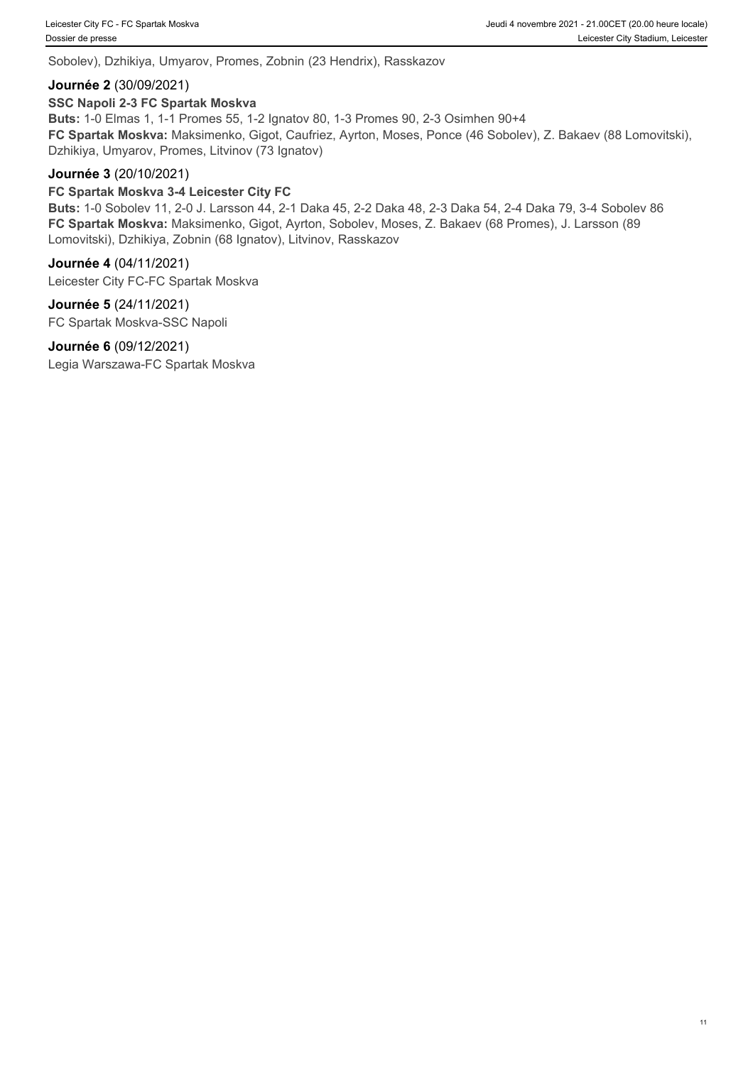Sobolev), Dzhikiya, Umyarov, Promes, Zobnin (23 Hendrix), Rasskazov

#### **Journée 2** (30/09/2021)

#### **SSC Napoli 2-3 FC Spartak Moskva**

**Buts:** 1-0 Elmas 1, 1-1 Promes 55, 1-2 Ignatov 80, 1-3 Promes 90, 2-3 Osimhen 90+4 **FC Spartak Moskva:** Maksimenko, Gigot, Caufriez, Ayrton, Moses, Ponce (46 Sobolev), Z. Bakaev (88 Lomovitski), Dzhikiya, Umyarov, Promes, Litvinov (73 Ignatov)

#### **Journée 3** (20/10/2021)

#### **FC Spartak Moskva 3-4 Leicester City FC**

**Buts:** 1-0 Sobolev 11, 2-0 J. Larsson 44, 2-1 Daka 45, 2-2 Daka 48, 2-3 Daka 54, 2-4 Daka 79, 3-4 Sobolev 86 **FC Spartak Moskva:** Maksimenko, Gigot, Ayrton, Sobolev, Moses, Z. Bakaev (68 Promes), J. Larsson (89 Lomovitski), Dzhikiya, Zobnin (68 Ignatov), Litvinov, Rasskazov

#### **Journée 4** (04/11/2021)

Leicester City FC-FC Spartak Moskva

#### **Journée 5** (24/11/2021)

FC Spartak Moskva-SSC Napoli

#### **Journée 6** (09/12/2021)

Legia Warszawa-FC Spartak Moskva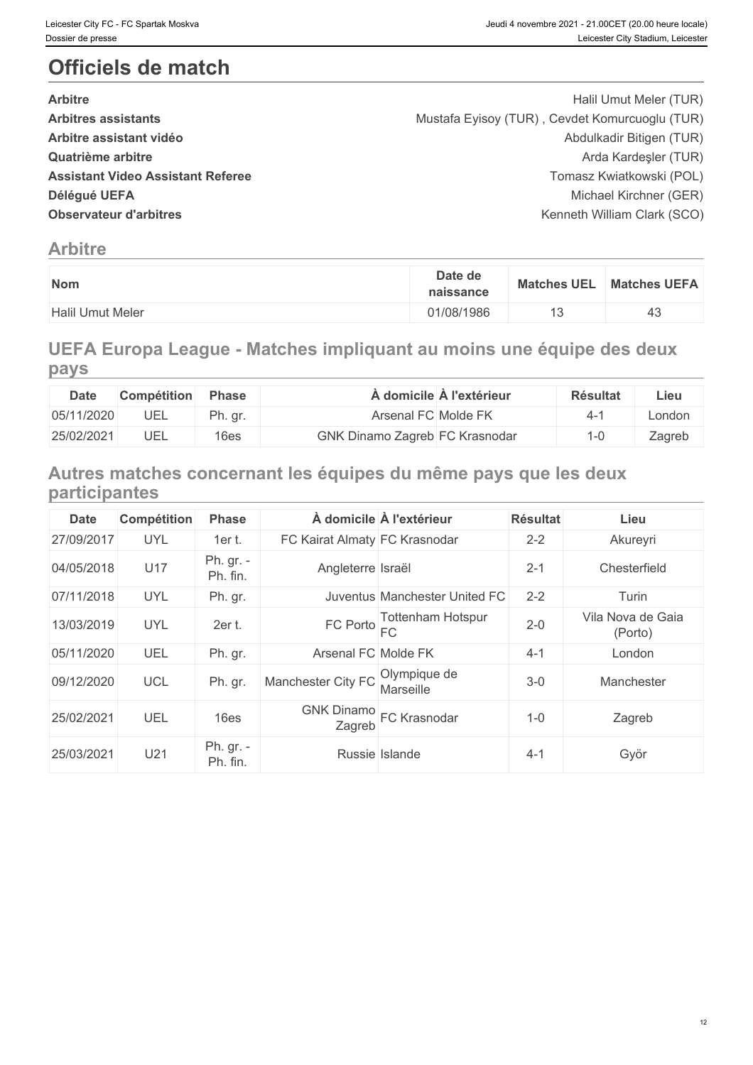# **Officiels de match**

| <b>Arbitre</b>                           | Halil Umut Meler (TUR)                         |  |
|------------------------------------------|------------------------------------------------|--|
| <b>Arbitres assistants</b>               | Mustafa Eyisoy (TUR), Cevdet Komurcuoglu (TUR) |  |
| Arbitre assistant vidéo                  | Abdulkadir Bitigen (TUR)                       |  |
| Quatrième arbitre                        | Arda Kardeşler (TUR)                           |  |
| <b>Assistant Video Assistant Referee</b> | Tomasz Kwiatkowski (POL)                       |  |
| Délégué UEFA                             | Michael Kirchner (GER)                         |  |
| <b>Observateur d'arbitres</b>            | Kenneth William Clark (SCO)                    |  |
|                                          |                                                |  |

# **Arbitre**

| <b>Matches UEFA</b><br><b>Matches UEL</b> |
|-------------------------------------------|
| ∽∼                                        |

# **UEFA Europa League - Matches impliquant au moins une équipe des deux pays**

| Date       | Compétition | <b>Phase</b> |                                | À domicile À l'extérieur_ | <b>Résultat</b> | ∟ieu   |
|------------|-------------|--------------|--------------------------------|---------------------------|-----------------|--------|
| 05/11/2020 | UEL         | Ph. gr.      | Arsenal FC Molde FK            |                           |                 | London |
| 25/02/2021 | UEL         | 16es         | GNK Dinamo Zagreb FC Krasnodar |                           |                 | Zagreb |

# **Autres matches concernant les équipes du même pays que les deux participantes**

| <b>Date</b> | Compétition | <b>Phase</b>          |                                      | À domicile À l'extérieur         | <b>Résultat</b> | Lieu                         |
|-------------|-------------|-----------------------|--------------------------------------|----------------------------------|-----------------|------------------------------|
| 27/09/2017  | <b>UYL</b>  | 1er t.                | FC Kairat Almaty FC Krasnodar        |                                  | $2 - 2$         | Akureyri                     |
| 04/05/2018  | U17         | Ph. gr. -<br>Ph. fin. | Angleterre Israël                    |                                  | $2 - 1$         | Chesterfield                 |
| 07/11/2018  | <b>UYL</b>  | Ph. gr.               |                                      | Juventus Manchester United FC    | $2 - 2$         | Turin                        |
| 13/03/2019  | <b>UYL</b>  | 2er t.                | $FC$ Porto $FC$                      | <b>Tottenham Hotspur</b>         | $2 - 0$         | Vila Nova de Gaia<br>(Porto) |
| 05/11/2020  | UEL         | Ph. gr.               | Arsenal FC Molde FK                  |                                  | $4 - 1$         | London                       |
| 09/12/2020  | <b>UCL</b>  | Ph. gr.               | Manchester City FC                   | Olympique de<br><b>Marseille</b> | $3-0$           | Manchester                   |
| 25/02/2021  | UEL         | 16es                  | GNK Dinamo<br>Zagreb<br>FC Krasnodar |                                  | $1 - 0$         | Zagreb                       |
| 25/03/2021  | U21         | Ph. gr. -<br>Ph. fin. | Russie Islande                       |                                  | $4 - 1$         | Györ                         |